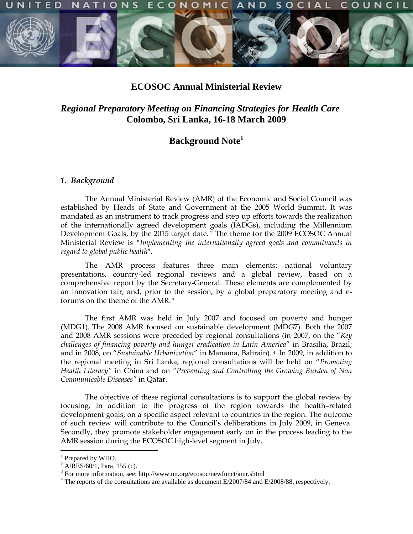



## **ECOSOC Annual Ministerial Review**

# *Regional Preparatory Meeting on Financing Strategies for Health Care* **Colombo, Sri Lanka, 16-18 March 2009**

# **Background Note1**

### *1. Background*

The Annual Ministerial Review (AMR) of the Economic and Social Council was established by Heads of State and Government at the 2005 World Summit. It was mandated as an instrument to track progress and step up efforts towards the realization of the internationally agreed development goals (IADGs), including the Millennium Development Goals, by the 2015 target date.<sup>2</sup> The theme for the 2009 ECOSOC Annual Ministerial Review is *"Implementing the internationally agreed goals and commitments in regard to global public health*".

The AMR process features three main elements: national voluntary presentations, country-led regional reviews and a global review, based on a comprehensive report by the Secretary-General. These elements are complemented by an innovation fair; and, prior to the session, by a global preparatory meeting and eforums on the theme of the AMR. 3

The first AMR was held in July 2007 and focused on poverty and hunger (MDG1). The 2008 AMR focused on sustainable development (MDG7). Both the 2007 and 2008 AMR sessions were preceded by regional consultations (in 2007, on the "*Key challenges of financing poverty and hunger eradication in Latin America*" in Brasilia, Brazil; and in 2008, on "*Sustainable Urbanization*" in Manama, Bahrain). 4 In 2009, in addition to the regional meeting in Sri Lanka, regional consultations will be held on "*Promoting Health Literacy"* in China and on *"Preventing and Controlling the Growing Burden of Non Communicable Diseases"* in Qatar.

The objective of these regional consultations is to support the global review by focusing, in addition to the progress of the region towards the health–related development goals, on a specific aspect relevant to countries in the region. The outcome of such review will contribute to the Council's deliberations in July 2009, in Geneva. Secondly, they promote stakeholder engagement early on in the process leading to the AMR session during the ECOSOC high-level segment in July.

<sup>&</sup>lt;sup>1</sup> Prepared by WHO.

 $^{2}$  A/RES/60/1, Para. 155 (c).

<sup>&</sup>lt;sup>3</sup> For more information, see: http://www.un.org/ecosoc/newfunct/amr.shtml

<sup>&</sup>lt;sup>4</sup> The reports of the consultations are available as document E/2007/84 and E/2008/88, respectively.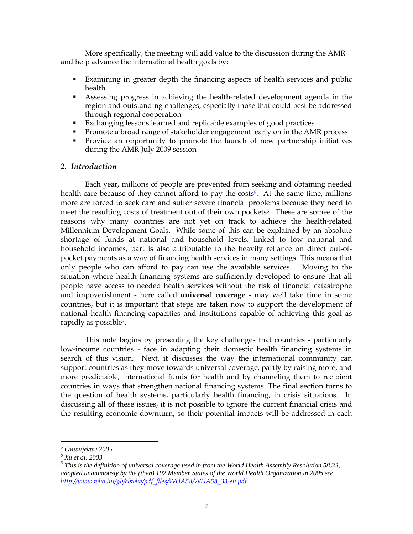More specifically, the meeting will add value to the discussion during the AMR and help advance the international health goals by:

- Examining in greater depth the financing aspects of health services and public health
- Assessing progress in achieving the health-related development agenda in the region and outstanding challenges, especially those that could best be addressed through regional cooperation
- Exchanging lessons learned and replicable examples of good practices
- **Promote a broad range of stakeholder engagement early on in the AMR process**
- **Provide an opportunity to promote the launch of new partnership initiatives** during the AMR July 2009 session

## *2. Introduction*

Each year, millions of people are prevented from seeking and obtaining needed health care because of they cannot afford to pay the costs<sup>5</sup>. At the same time, millions more are forced to seek care and suffer severe financial problems because they need to meet the resulting costs of treatment out of their own pockets<sup>6</sup>. These are somee of the reasons why many countries are not yet on track to achieve the health-related Millennium Development Goals. While some of this can be explained by an absolute shortage of funds at national and household levels, linked to low national and household incomes, part is also attributable to the heavily reliance on direct out-ofpocket payments as a way of financing health services in many settings. This means that only people who can afford to pay can use the available services. Moving to the situation where health financing systems are sufficiently developed to ensure that all people have access to needed health services without the risk of financial catastrophe and impoverishment - here called **universal coverage** - may well take time in some countries, but it is important that steps are taken now to support the development of national health financing capacities and institutions capable of achieving this goal as rapidly as possible7.

This note begins by presenting the key challenges that countries - particularly low-income countries - face in adapting their domestic health financing systems in search of this vision. Next, it discusses the way the international community can support countries as they move towards universal coverage, partly by raising more, and more predictable, international funds for health and by channeling them to recipient countries in ways that strengthen national financing systems. The final section turns to the question of health systems, particularly health financing, in crisis situations. In discussing all of these issues, it is not possible to ignore the current financial crisis and the resulting economic downturn, so their potential impacts will be addressed in each

*<sup>5</sup> Onwujekwe 2005*

*<sup>6</sup> Xu et al. 2003* 

*<sup>3</sup> This is the definition of universal coverage used in from the World Health Assembly Resolution 58.33,*  adopted unanimously by the (then) 192 Member States of the World Health Organization in 2005 see *http://www.who.int/gb/ebwha/pdf\_files/WHA58/WHA58\_33-en.pdf.*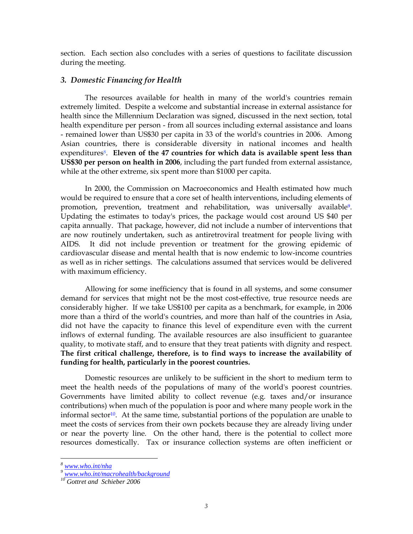section. Each section also concludes with a series of questions to facilitate discussion during the meeting.

### *3. Domestic Financing for Health*

The resources available for health in many of the world's countries remain extremely limited. Despite a welcome and substantial increase in external assistance for health since the Millennium Declaration was signed, discussed in the next section, total health expenditure per person - from all sources including external assistance and loans - remained lower than US\$30 per capita in 33 of the world's countries in 2006. Among Asian countries, there is considerable diversity in national incomes and health expenditures<sup>8</sup>. Eleven of the 47 countries for which data is available spent less than **US\$30 per person on health in 2006**, including the part funded from external assistance, while at the other extreme, six spent more than \$1000 per capita.

In 2000, the Commission on Macroeconomics and Health estimated how much would be required to ensure that a core set of health interventions, including elements of promotion, prevention, treatment and rehabilitation, was universally available9. Updating the estimates to today's prices, the package would cost around US \$40 per capita annually. That package, however, did not include a number of interventions that are now routinely undertaken, such as antiretroviral treatment for people living with AIDS. It did not include prevention or treatment for the growing epidemic of cardiovascular disease and mental health that is now endemic to low-income countries as well as in richer settings. The calculations assumed that services would be delivered with maximum efficiency.

Allowing for some inefficiency that is found in all systems, and some consumer demand for services that might not be the most cost-effective, true resource needs are considerably higher. If we take US\$100 per capita as a benchmark, for example, in 2006 more than a third of the world's countries, and more than half of the countries in Asia, did not have the capacity to finance this level of expenditure even with the current inflows of external funding. The available resources are also insufficient to guarantee quality, to motivate staff, and to ensure that they treat patients with dignity and respect. **The first critical challenge, therefore, is to find ways to increase the availability of funding for health, particularly in the poorest countries.** 

Domestic resources are unlikely to be sufficient in the short to medium term to meet the health needs of the populations of many of the world's poorest countries. Governments have limited ability to collect revenue (e.g. taxes and/or insurance contributions) when much of the population is poor and where many people work in the informal sector<sup>10</sup>. At the same time, substantial portions of the population are unable to meet the costs of services from their own pockets because they are already living under or near the poverty line. On the other hand, there is the potential to collect more resources domestically. Tax or insurance collection systems are often inefficient or

*<sup>8</sup> www.who.int/nha*

*<sup>9</sup> www.who.int/macrohealth/background*

*<sup>10</sup> Gottret and Schieber 2006*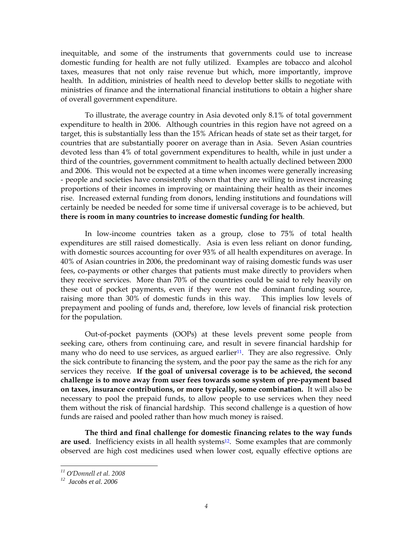inequitable, and some of the instruments that governments could use to increase domestic funding for health are not fully utilized. Examples are tobacco and alcohol taxes, measures that not only raise revenue but which, more importantly, improve health. In addition, ministries of health need to develop better skills to negotiate with ministries of finance and the international financial institutions to obtain a higher share of overall government expenditure.

To illustrate, the average country in Asia devoted only 8.1% of total government expenditure to health in 2006. Although countries in this region have not agreed on a target, this is substantially less than the 15% African heads of state set as their target, for countries that are substantially poorer on average than in Asia. Seven Asian countries devoted less than 4% of total government expenditures to health, while in just under a third of the countries, government commitment to health actually declined between 2000 and 2006. This would not be expected at a time when incomes were generally increasing - people and societies have consistently shown that they are willing to invest increasing proportions of their incomes in improving or maintaining their health as their incomes rise. Increased external funding from donors, lending institutions and foundations will certainly be needed be needed for some time if universal coverage is to be achieved, but **there is room in many countries to increase domestic funding for health**.

In low-income countries taken as a group, close to 75% of total health expenditures are still raised domestically. Asia is even less reliant on donor funding, with domestic sources accounting for over 93% of all health expenditures on average. In 40% of Asian countries in 2006, the predominant way of raising domestic funds was user fees, co-payments or other charges that patients must make directly to providers when they receive services. More than 70% of the countries could be said to rely heavily on these out of pocket payments, even if they were not the dominant funding source, raising more than 30% of domestic funds in this way. This implies low levels of prepayment and pooling of funds and, therefore, low levels of financial risk protection for the population.

Out-of-pocket payments (OOPs) at these levels prevent some people from seeking care, others from continuing care, and result in severe financial hardship for many who do need to use services, as argued earlier<sup>11</sup>. They are also regressive. Only the sick contribute to financing the system, and the poor pay the same as the rich for any services they receive. **If the goal of universal coverage is to be achieved, the second challenge is to move away from user fees towards some system of pre-payment based on taxes, insurance contributions, or more typically, some combination.** It will also be necessary to pool the prepaid funds, to allow people to use services when they need them without the risk of financial hardship. This second challenge is a question of how funds are raised and pooled rather than how much money is raised.

**The third and final challenge for domestic financing relates to the way funds**  are used. Inefficiency exists in all health systems<sup>12</sup>. Some examples that are commonly observed are high cost medicines used when lower cost, equally effective options are

 $\mu$  O'Donnell et al. 2008

*<sup>11</sup> O'Donnell et al. 2008 12 Jacobs et al. 2006*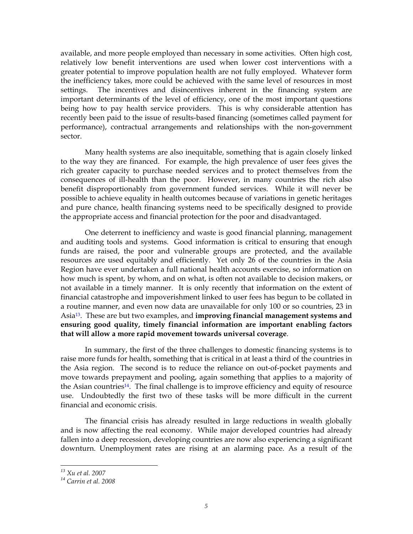available, and more people employed than necessary in some activities. Often high cost, relatively low benefit interventions are used when lower cost interventions with a greater potential to improve population health are not fully employed. Whatever form the inefficiency takes, more could be achieved with the same level of resources in most settings. The incentives and disincentives inherent in the financing system are important determinants of the level of efficiency, one of the most important questions being how to pay health service providers. This is why considerable attention has recently been paid to the issue of results-based financing (sometimes called payment for performance), contractual arrangements and relationships with the non-government sector.

Many health systems are also inequitable, something that is again closely linked to the way they are financed. For example, the high prevalence of user fees gives the rich greater capacity to purchase needed services and to protect themselves from the consequences of ill-health than the poor. However, in many countries the rich also benefit disproportionably from government funded services. While it will never be possible to achieve equality in health outcomes because of variations in genetic heritages and pure chance, health financing systems need to be specifically designed to provide the appropriate access and financial protection for the poor and disadvantaged.

One deterrent to inefficiency and waste is good financial planning, management and auditing tools and systems. Good information is critical to ensuring that enough funds are raised, the poor and vulnerable groups are protected, and the available resources are used equitably and efficiently. Yet only 26 of the countries in the Asia Region have ever undertaken a full national health accounts exercise, so information on how much is spent, by whom, and on what, is often not available to decision makers, or not available in a timely manner. It is only recently that information on the extent of financial catastrophe and impoverishment linked to user fees has begun to be collated in a routine manner, and even now data are unavailable for only 100 or so countries, 23 in Asia13. These are but two examples, and **improving financial management systems and ensuring good quality, timely financial information are important enabling factors that will allow a more rapid movement towards universal coverage**.

In summary, the first of the three challenges to domestic financing systems is to raise more funds for health, something that is critical in at least a third of the countries in the Asia region. The second is to reduce the reliance on out-of-pocket payments and move towards prepayment and pooling, again something that applies to a majority of the Asian countries<sup>14</sup>. The final challenge is to improve efficiency and equity of resource use. Undoubtedly the first two of these tasks will be more difficult in the current financial and economic crisis.

The financial crisis has already resulted in large reductions in wealth globally and is now affecting the real economy. While major developed countries had already fallen into a deep recession, developing countries are now also experiencing a significant downturn. Unemployment rates are rising at an alarming pace. As a result of the

*<sup>13</sup> Xu et al. 2007*

*<sup>14</sup> Carrin et al. 2008*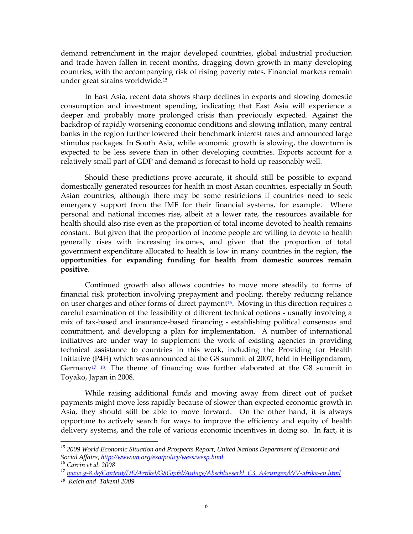demand retrenchment in the major developed countries, global industrial production and trade haven fallen in recent months, dragging down growth in many developing countries, with the accompanying risk of rising poverty rates. Financial markets remain under great strains worldwide.15

In East Asia, recent data shows sharp declines in exports and slowing domestic consumption and investment spending, indicating that East Asia will experience a deeper and probably more prolonged crisis than previously expected. Against the backdrop of rapidly worsening economic conditions and slowing inflation, many central banks in the region further lowered their benchmark interest rates and announced large stimulus packages. In South Asia, while economic growth is slowing, the downturn is expected to be less severe than in other developing countries. Exports account for a relatively small part of GDP and demand is forecast to hold up reasonably well.

Should these predictions prove accurate, it should still be possible to expand domestically generated resources for health in most Asian countries, especially in South Asian countries, although there may be some restrictions if countries need to seek emergency support from the IMF for their financial systems, for example. Where personal and national incomes rise, albeit at a lower rate, the resources available for health should also rise even as the proportion of total income devoted to health remains constant. But given that the proportion of income people are willing to devote to health generally rises with increasing incomes, and given that the proportion of total government expenditure allocated to health is low in many countries in the region, **the opportunities for expanding funding for health from domestic sources remain positive**.

Continued growth also allows countries to move more steadily to forms of financial risk protection involving prepayment and pooling, thereby reducing reliance on user charges and other forms of direct payment<sup>16</sup>. Moving in this direction requires a careful examination of the feasibility of different technical options - usually involving a mix of tax-based and insurance-based financing - establishing political consensus and commitment, and developing a plan for implementation. A number of international initiatives are under way to supplement the work of existing agencies in providing technical assistance to countries in this work, including the Providing for Health Initiative (P4H) which was announced at the G8 summit of 2007, held in Heiligendamm, Germany<sup>17 18</sup>. The theme of financing was further elaborated at the G8 summit in Toyako, Japan in 2008.

While raising additional funds and moving away from direct out of pocket payments might move less rapidly because of slower than expected economic growth in Asia, they should still be able to move forward. On the other hand, it is always opportune to actively search for ways to improve the efficiency and equity of health delivery systems, and the role of various economic incentives in doing so. In fact, it is

*<sup>15 2009</sup> World Economic Situation and Prospects Report, United Nations Department of Economic and Social Affairs, http://www.un.org/esa/policy/wess/wesp.html 16 Carrin et al. 2008*

*<sup>17</sup> www.g-8.de/Content/DE/Artikel/G8Gipfel/Anlage/Abschlusserkl\_C3\_A4rungen/WV-afrika-en.html 18 Reich and Takemi 2009*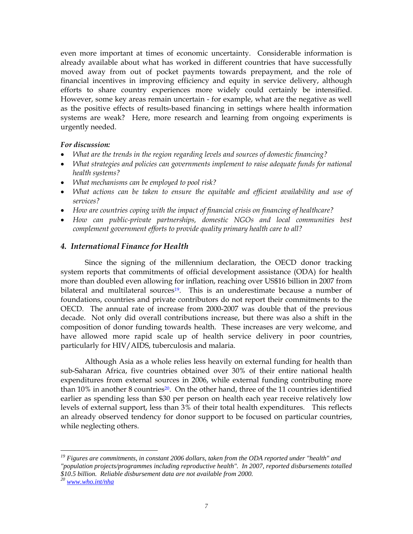even more important at times of economic uncertainty. Considerable information is already available about what has worked in different countries that have successfully moved away from out of pocket payments towards prepayment, and the role of financial incentives in improving efficiency and equity in service delivery, although efforts to share country experiences more widely could certainly be intensified. However, some key areas remain uncertain - for example, what are the negative as well as the positive effects of results-based financing in settings where health information systems are weak? Here, more research and learning from ongoing experiments is urgently needed.

#### *For discussion:*

- *What are the trends in the region regarding levels and sources of domestic financing?*
- *What strategies and policies can governments implement to raise adequate funds for national health systems?*
- *What mechanisms can be employed to pool risk?*
- *What actions can be taken to ensure the equitable and efficient availability and use of services?*
- *How are countries coping with the impact of financial crisis on financing of healthcare?*
- *How can public-private partnerships, domestic NGOs and local communities best complement government efforts to provide quality primary health care to all?*

#### *4. International Finance for Health*

Since the signing of the millennium declaration, the OECD donor tracking system reports that commitments of official development assistance (ODA) for health more than doubled even allowing for inflation, reaching over US\$16 billion in 2007 from bilateral and multilateral sources<sup>19</sup>. This is an underestimate because a number of foundations, countries and private contributors do not report their commitments to the OECD. The annual rate of increase from 2000-2007 was double that of the previous decade. Not only did overall contributions increase, but there was also a shift in the composition of donor funding towards health. These increases are very welcome, and have allowed more rapid scale up of health service delivery in poor countries, particularly for HIV/AIDS, tuberculosis and malaria.

Although Asia as a whole relies less heavily on external funding for health than sub-Saharan Africa, five countries obtained over 30% of their entire national health expenditures from external sources in 2006, while external funding contributing more than 10% in another 8 countries<sup>20</sup>. On the other hand, three of the 11 countries identified earlier as spending less than \$30 per person on health each year receive relatively low levels of external support, less than 3% of their total health expenditures. This reflects an already observed tendency for donor support to be focused on particular countries, while neglecting others.

*<sup>19</sup> Figures are commitments, in constant 2006 dollars, taken from the ODA reported under "health" and "population projects/programmes including reproductive health". In 2007, reported disbursements totalled \$10.5 billion. Reliable disbursement data are not available from 2000.* 

*<sup>20</sup> www.who.int/nha*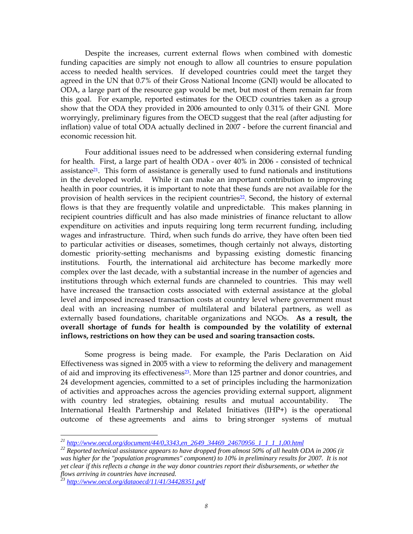Despite the increases, current external flows when combined with domestic funding capacities are simply not enough to allow all countries to ensure population access to needed health services. If developed countries could meet the target they agreed in the UN that 0.7% of their Gross National Income (GNI) would be allocated to ODA, a large part of the resource gap would be met, but most of them remain far from this goal. For example, reported estimates for the OECD countries taken as a group show that the ODA they provided in 2006 amounted to only 0.31% of their GNI. More worryingly, preliminary figures from the OECD suggest that the real (after adjusting for inflation) value of total ODA actually declined in 2007 - before the current financial and economic recession hit.

Four additional issues need to be addressed when considering external funding for health. First, a large part of health ODA - over 40% in 2006 - consisted of technical assistance<sup>21</sup>. This form of assistance is generally used to fund nationals and institutions in the developed world. While it can make an important contribution to improving health in poor countries, it is important to note that these funds are not available for the provision of health services in the recipient countries<sup>22</sup>. Second, the history of external flows is that they are frequently volatile and unpredictable. This makes planning in recipient countries difficult and has also made ministries of finance reluctant to allow expenditure on activities and inputs requiring long term recurrent funding, including wages and infrastructure. Third, when such funds do arrive, they have often been tied to particular activities or diseases, sometimes, though certainly not always, distorting domestic priority-setting mechanisms and bypassing existing domestic financing institutions. Fourth, the international aid architecture has become markedly more complex over the last decade, with a substantial increase in the number of agencies and institutions through which external funds are channeled to countries. This may well have increased the transaction costs associated with external assistance at the global level and imposed increased transaction costs at country level where government must deal with an increasing number of multilateral and bilateral partners, as well as externally based foundations, charitable organizations and NGOs. **As a result, the overall shortage of funds for health is compounded by the volatility of external inflows, restrictions on how they can be used and soaring transaction costs.**

Some progress is being made. For example, the Paris Declaration on Aid Effectiveness was signed in 2005 with a view to reforming the delivery and management of aid and improving its effectiveness<sup>23</sup>. More than 125 partner and donor countries, and 24 development agencies, committed to a set of principles including the harmonization of activities and approaches across the agencies providing external support, alignment with country led strategies, obtaining results and mutual accountability. The International Health Partnership and Related Initiatives (IHP+) is the operational outcome of these agreements and aims to bring stronger systems of mutual

<sup>&</sup>lt;sup>21</sup> http://www.oecd.org/document/44/0,3343,en\_2649\_34469\_24670956\_1\_1\_1\_1,00.html

<sup>&</sup>lt;sup>22</sup> Reported technical assistance appears to have dropped from almost 50% of all health ODA in 2006 (it *was higher for the "population programmes" component) to 10% in preliminary results for 2007. It is not yet clear if this reflects a change in the way donor countries report their disbursements, or whether the flows arriving in countries have increased.* 

*<sup>23</sup> http://www.oecd.org/dataoecd/11/41/34428351.pdf*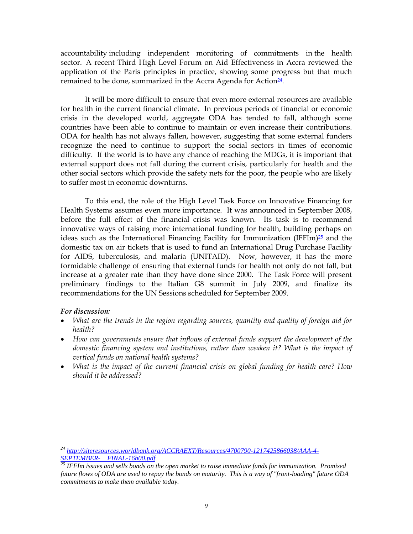accountability including independent monitoring of commitments in the health sector. A recent Third High Level Forum on Aid Effectiveness in Accra reviewed the application of the Paris principles in practice, showing some progress but that much remained to be done, summarized in the Accra Agenda for Action<sup>24</sup>.

It will be more difficult to ensure that even more external resources are available for health in the current financial climate. In previous periods of financial or economic crisis in the developed world, aggregate ODA has tended to fall, although some countries have been able to continue to maintain or even increase their contributions. ODA for health has not always fallen, however, suggesting that some external funders recognize the need to continue to support the social sectors in times of economic difficulty. If the world is to have any chance of reaching the MDGs, it is important that external support does not fall during the current crisis, particularly for health and the other social sectors which provide the safety nets for the poor, the people who are likely to suffer most in economic downturns.

To this end, the role of the High Level Task Force on Innovative Financing for Health Systems assumes even more importance. It was announced in September 2008, before the full effect of the financial crisis was known. Its task is to recommend innovative ways of raising more international funding for health, building perhaps on ideas such as the International Financing Facility for Immunization (IFFIm)<sup>25</sup> and the domestic tax on air tickets that is used to fund an International Drug Purchase Facility for AIDS, tuberculosis, and malaria (UNITAID). Now, however, it has the more formidable challenge of ensuring that external funds for health not only do not fall, but increase at a greater rate than they have done since 2000. The Task Force will present preliminary findings to the Italian G8 summit in July 2009, and finalize its recommendations for the UN Sessions scheduled for September 2009.

#### *For discussion:*

- *What are the trends in the region regarding sources, quantity and quality of foreign aid for health?*
- *How can governments ensure that inflows of external funds support the development of the domestic financing system and institutions, rather than weaken it? What is the impact of vertical funds on national health systems?*
- *What is the impact of the current financial crisis on global funding for health care? How should it be addressed?*

*<sup>24</sup> http://siteresources.worldbank.org/ACCRAEXT/Resources/4700790-1217425866038/AAA-4- SEPTEMBER- FINAL-16h00.pdf*

*<sup>25</sup> IFFIm issues and sells bonds on the open market to raise immediate funds for immunization. Promised future flows of ODA are used to repay the bonds on maturity. This is a way of "front-loading" future ODA commitments to make them available today.*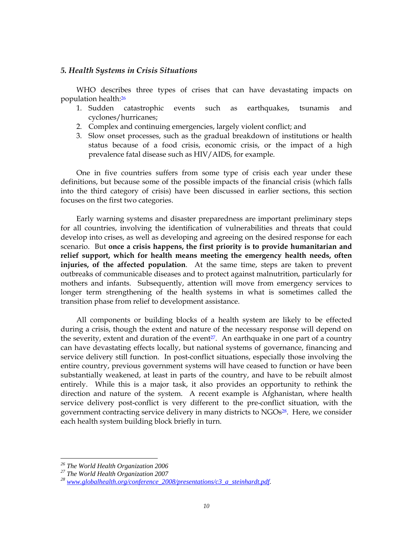#### *5. Health Systems in Crisis Situations*

WHO describes three types of crises that can have devastating impacts on population health:26

- 1. Sudden catastrophic events such as earthquakes, tsunamis and cyclones/hurricanes;
- 2. Complex and continuing emergencies, largely violent conflict; and
- 3. Slow onset processes, such as the gradual breakdown of institutions or health status because of a food crisis, economic crisis, or the impact of a high prevalence fatal disease such as HIV/AIDS, for example.

One in five countries suffers from some type of crisis each year under these definitions, but because some of the possible impacts of the financial crisis (which falls into the third category of crisis) have been discussed in earlier sections, this section focuses on the first two categories.

Early warning systems and disaster preparedness are important preliminary steps for all countries, involving the identification of vulnerabilities and threats that could develop into crises, as well as developing and agreeing on the desired response for each scenario. But **once a crisis happens, the first priority is to provide humanitarian and relief support, which for health means meeting the emergency health needs, often injuries, of the affected population**. At the same time, steps are taken to prevent outbreaks of communicable diseases and to protect against malnutrition, particularly for mothers and infants. Subsequently, attention will move from emergency services to longer term strengthening of the health systems in what is sometimes called the transition phase from relief to development assistance.

All components or building blocks of a health system are likely to be effected during a crisis, though the extent and nature of the necessary response will depend on the severity, extent and duration of the event<sup>27</sup>. An earthquake in one part of a country can have devastating effects locally, but national systems of governance, financing and service delivery still function. In post-conflict situations, especially those involving the entire country, previous government systems will have ceased to function or have been substantially weakened, at least in parts of the country, and have to be rebuilt almost entirely. While this is a major task, it also provides an opportunity to rethink the direction and nature of the system. A recent example is Afghanistan, where health service delivery post-conflict is very different to the pre-conflict situation, with the government contracting service delivery in many districts to NGOs<sup>28</sup>. Here, we consider each health system building block briefly in turn.

*<sup>26</sup> The World Health Organization 2006* 

*<sup>27</sup> The World Health Organization 2007* 

*<sup>28</sup> www.globalhealth.org/conference\_2008/presentations/c3\_a\_steinhardt.pdf.*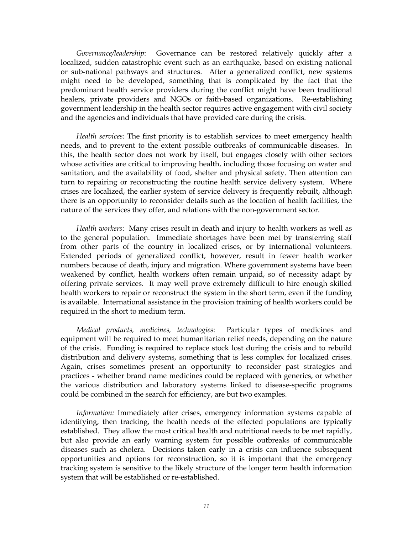*Governance/leadership*: Governance can be restored relatively quickly after a localized, sudden catastrophic event such as an earthquake, based on existing national or sub-national pathways and structures. After a generalized conflict, new systems might need to be developed, something that is complicated by the fact that the predominant health service providers during the conflict might have been traditional healers, private providers and NGOs or faith-based organizations. Re-establishing government leadership in the health sector requires active engagement with civil society and the agencies and individuals that have provided care during the crisis.

*Health services:* The first priority is to establish services to meet emergency health needs, and to prevent to the extent possible outbreaks of communicable diseases. In this, the health sector does not work by itself, but engages closely with other sectors whose activities are critical to improving health, including those focusing on water and sanitation, and the availability of food, shelter and physical safety. Then attention can turn to repairing or reconstructing the routine health service delivery system. Where crises are localized, the earlier system of service delivery is frequently rebuilt, although there is an opportunity to reconsider details such as the location of health facilities, the nature of the services they offer, and relations with the non-government sector.

*Health workers*: Many crises result in death and injury to health workers as well as to the general population. Immediate shortages have been met by transferring staff from other parts of the country in localized crises, or by international volunteers. Extended periods of generalized conflict, however, result in fewer health worker numbers because of death, injury and migration. Where government systems have been weakened by conflict, health workers often remain unpaid, so of necessity adapt by offering private services. It may well prove extremely difficult to hire enough skilled health workers to repair or reconstruct the system in the short term, even if the funding is available. International assistance in the provision training of health workers could be required in the short to medium term.

*Medical products, medicines, technologies*: Particular types of medicines and equipment will be required to meet humanitarian relief needs, depending on the nature of the crisis. Funding is required to replace stock lost during the crisis and to rebuild distribution and delivery systems, something that is less complex for localized crises. Again, crises sometimes present an opportunity to reconsider past strategies and practices - whether brand name medicines could be replaced with generics, or whether the various distribution and laboratory systems linked to disease-specific programs could be combined in the search for efficiency, are but two examples.

*Information:* Immediately after crises, emergency information systems capable of identifying, then tracking, the health needs of the effected populations are typically established. They allow the most critical health and nutritional needs to be met rapidly, but also provide an early warning system for possible outbreaks of communicable diseases such as cholera. Decisions taken early in a crisis can influence subsequent opportunities and options for reconstruction, so it is important that the emergency tracking system is sensitive to the likely structure of the longer term health information system that will be established or re-established.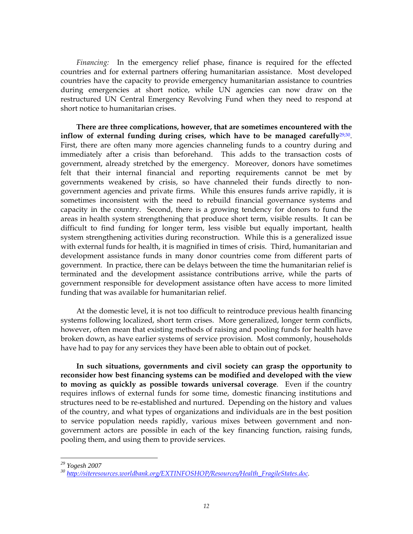*Financing:* In the emergency relief phase, finance is required for the effected countries and for external partners offering humanitarian assistance. Most developed countries have the capacity to provide emergency humanitarian assistance to countries during emergencies at short notice, while UN agencies can now draw on the restructured UN Central Emergency Revolving Fund when they need to respond at short notice to humanitarian crises.

**There are three complications, however, that are sometimes encountered with the inflow of external funding during crises, which have to be managed carefully**29;30. First, there are often many more agencies channeling funds to a country during and immediately after a crisis than beforehand. This adds to the transaction costs of government, already stretched by the emergency. Moreover, donors have sometimes felt that their internal financial and reporting requirements cannot be met by governments weakened by crisis, so have channeled their funds directly to nongovernment agencies and private firms. While this ensures funds arrive rapidly, it is sometimes inconsistent with the need to rebuild financial governance systems and capacity in the country. Second, there is a growing tendency for donors to fund the areas in health system strengthening that produce short term, visible results. It can be difficult to find funding for longer term, less visible but equally important, health system strengthening activities during reconstruction. While this is a generalized issue with external funds for health, it is magnified in times of crisis. Third, humanitarian and development assistance funds in many donor countries come from different parts of government. In practice, there can be delays between the time the humanitarian relief is terminated and the development assistance contributions arrive, while the parts of government responsible for development assistance often have access to more limited funding that was available for humanitarian relief.

At the domestic level, it is not too difficult to reintroduce previous health financing systems following localized, short term crises. More generalized, longer term conflicts, however, often mean that existing methods of raising and pooling funds for health have broken down, as have earlier systems of service provision. Most commonly, households have had to pay for any services they have been able to obtain out of pocket.

**In such situations, governments and civil society can grasp the opportunity to reconsider how best financing systems can be modified and developed with the view to moving as quickly as possible towards universal coverage**. Even if the country requires inflows of external funds for some time, domestic financing institutions and structures need to be re-established and nurtured. Depending on the history and values of the country, and what types of organizations and individuals are in the best position to service population needs rapidly, various mixes between government and nongovernment actors are possible in each of the key financing function, raising funds, pooling them, and using them to provide services.

*<sup>29</sup> Yogesh 2007* 

*<sup>30</sup> http://siteresources.worldbank.org/EXTINFOSHOP/Resources/Health\_FragileStates.doc.*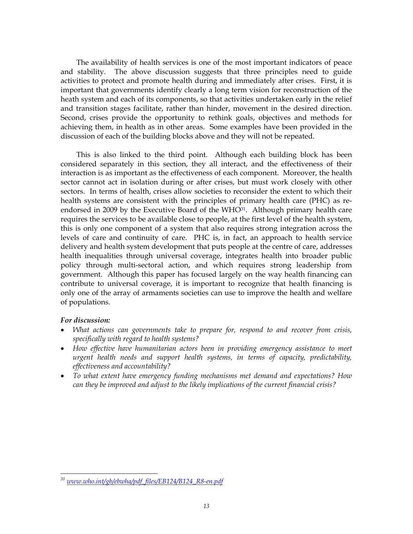The availability of health services is one of the most important indicators of peace and stability. The above discussion suggests that three principles need to guide activities to protect and promote health during and immediately after crises. First, it is important that governments identify clearly a long term vision for reconstruction of the heath system and each of its components, so that activities undertaken early in the relief and transition stages facilitate, rather than hinder, movement in the desired direction. Second, crises provide the opportunity to rethink goals, objectives and methods for achieving them, in health as in other areas. Some examples have been provided in the discussion of each of the building blocks above and they will not be repeated.

This is also linked to the third point. Although each building block has been considered separately in this section, they all interact, and the effectiveness of their interaction is as important as the effectiveness of each component. Moreover, the health sector cannot act in isolation during or after crises, but must work closely with other sectors. In terms of health, crises allow societies to reconsider the extent to which their health systems are consistent with the principles of primary health care (PHC) as reendorsed in 2009 by the Executive Board of the WHO<sup>31</sup>. Although primary health care requires the services to be available close to people, at the first level of the health system, this is only one component of a system that also requires strong integration across the levels of care and continuity of care. PHC is, in fact, an approach to health service delivery and health system development that puts people at the centre of care, addresses health inequalities through universal coverage, integrates health into broader public policy through multi-sectoral action, and which requires strong leadership from government. Although this paper has focused largely on the way health financing can contribute to universal coverage, it is important to recognize that health financing is only one of the array of armaments societies can use to improve the health and welfare of populations.

#### *For discussion:*

- *What actions can governments take to prepare for, respond to and recover from crisis, specifically with regard to health systems?*
- *How effective have humanitarian actors been in providing emergency assistance to meet urgent health needs and support health systems, in terms of capacity, predictability, effectiveness and accountability?*
- *To what extent have emergency funding mechanisms met demand and expectations? How can they be improved and adjust to the likely implications of the current financial crisis?*

*<sup>31</sup> www.who.int/gb/ebwha/pdf\_files/EB124/B124\_R8-en.pdf*